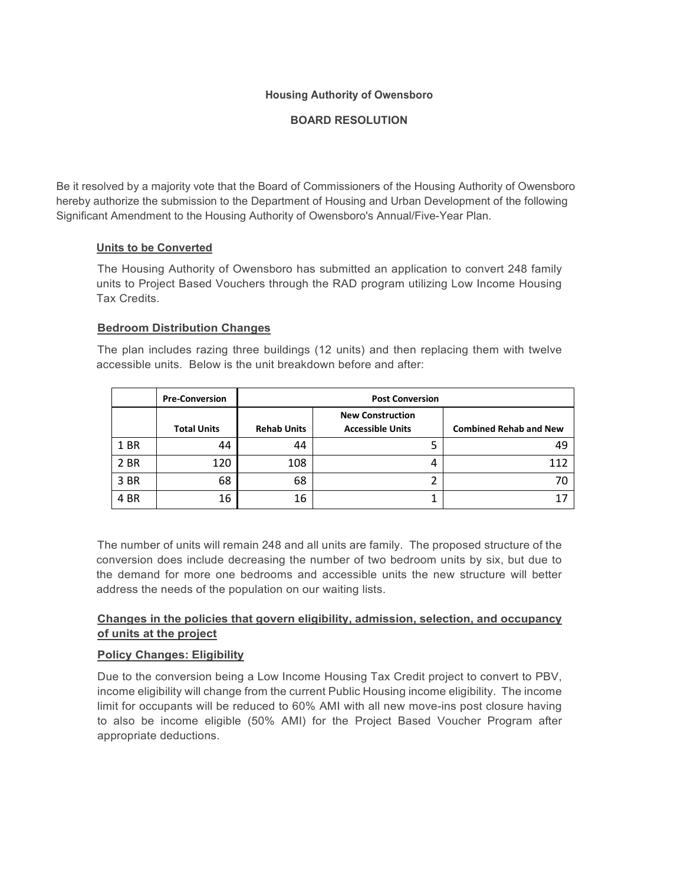# **Housing Authority of Owensboro**

# **BOARD RESOLUTION**

Be it resolved by a majority vote that the Board of Commissioners of the Housing Authority of Owensboro hereby authorize the submission to the Department of Housing and Urban Development of the following Significant Amendment to the Housing Authority of Owensboro's Annual/Five-Year Plan.

## **Units to be Converted**

The Housing Authority of Owensboro has submitted an application to convert 248 family units to Project Based Vouchers through the RAD program utilizing Low Income Housing Tax Credits.

## **Bedroom Distribution Changes**

The plan includes razing three buildings (12 units) and then replacing them with twelve accessible units. Below is the unit breakdown before and after:

|      | <b>Pre-Conversion</b> | <b>Post Conversion</b> |                                                    |                               |  |  |  |  |
|------|-----------------------|------------------------|----------------------------------------------------|-------------------------------|--|--|--|--|
|      | <b>Total Units</b>    | <b>Rehab Units</b>     | <b>New Construction</b><br><b>Accessible Units</b> | <b>Combined Rehab and New</b> |  |  |  |  |
| 1 BR | 44                    | 44                     | 5                                                  | 49                            |  |  |  |  |
| 2 BR | 120                   | 108                    | 4                                                  | 112                           |  |  |  |  |
| 3 BR | 68                    | 68                     | ∍                                                  |                               |  |  |  |  |
| 4 BR | 16                    | 16                     |                                                    |                               |  |  |  |  |

The number of units will remain 248 and all units are family. The proposed structure of the conversion does include decreasing the number of two bedroom units by six, but due to the demand for more one bedrooms and accessible units the new structure will better address the needs of the population on our waiting lists.

# **Changes in the policies that govern eligibility, admission, selection, and occupancy of units at the project**

# **Policy Changes: Eligibility**

Due to the conversion being a Low Income Housing Tax Credit project to convert to PBV, income eligibility will change from the current Public Housing income eligibility. The income limit for occupants will be reduced to 60% AMI with all new move-ins post closure having to also be income eligible (50% AMI) for the Project Based Voucher Program after appropriate deductions.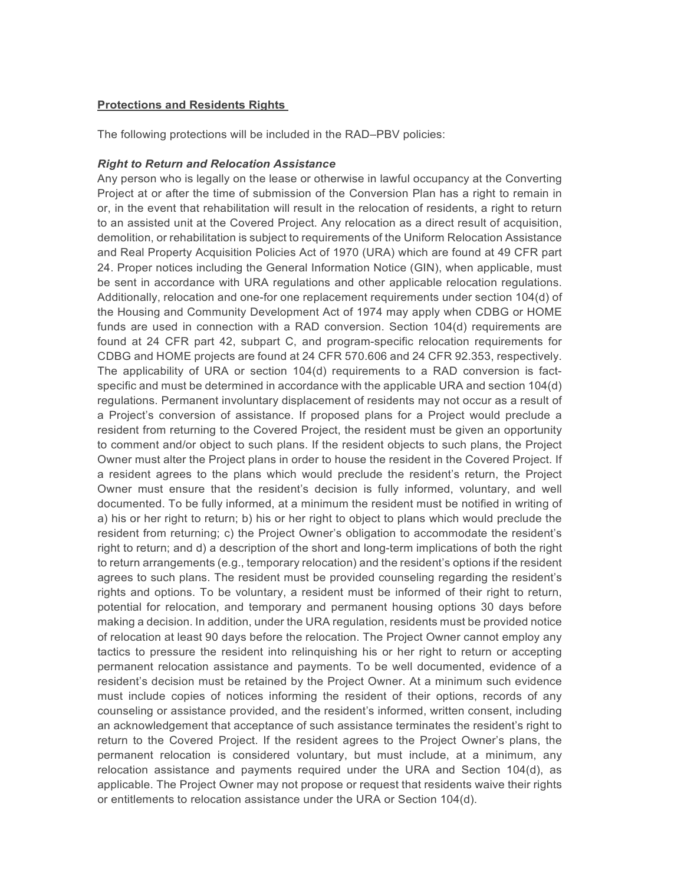#### **Protections and Residents Rights**

The following protections will be included in the RAD–PBV policies:

#### *Right to Return and Relocation Assistance*

Any person who is legally on the lease or otherwise in lawful occupancy at the Converting Project at or after the time of submission of the Conversion Plan has a right to remain in or, in the event that rehabilitation will result in the relocation of residents, a right to return to an assisted unit at the Covered Project. Any relocation as a direct result of acquisition, demolition, or rehabilitation is subject to requirements of the Uniform Relocation Assistance and Real Property Acquisition Policies Act of 1970 (URA) which are found at 49 CFR part 24. Proper notices including the General Information Notice (GIN), when applicable, must be sent in accordance with URA regulations and other applicable relocation regulations. Additionally, relocation and one-for one replacement requirements under section 104(d) of the Housing and Community Development Act of 1974 may apply when CDBG or HOME funds are used in connection with a RAD conversion. Section 104(d) requirements are found at 24 CFR part 42, subpart C, and program-specific relocation requirements for CDBG and HOME projects are found at 24 CFR 570.606 and 24 CFR 92.353, respectively. The applicability of URA or section 104(d) requirements to a RAD conversion is factspecific and must be determined in accordance with the applicable URA and section 104(d) regulations. Permanent involuntary displacement of residents may not occur as a result of a Project's conversion of assistance. If proposed plans for a Project would preclude a resident from returning to the Covered Project, the resident must be given an opportunity to comment and/or object to such plans. If the resident objects to such plans, the Project Owner must alter the Project plans in order to house the resident in the Covered Project. If a resident agrees to the plans which would preclude the resident's return, the Project Owner must ensure that the resident's decision is fully informed, voluntary, and well documented. To be fully informed, at a minimum the resident must be notified in writing of a) his or her right to return; b) his or her right to object to plans which would preclude the resident from returning; c) the Project Owner's obligation to accommodate the resident's right to return; and d) a description of the short and long-term implications of both the right to return arrangements (e.g., temporary relocation) and the resident's options if the resident agrees to such plans. The resident must be provided counseling regarding the resident's rights and options. To be voluntary, a resident must be informed of their right to return, potential for relocation, and temporary and permanent housing options 30 days before making a decision. In addition, under the URA regulation, residents must be provided notice of relocation at least 90 days before the relocation. The Project Owner cannot employ any tactics to pressure the resident into relinquishing his or her right to return or accepting permanent relocation assistance and payments. To be well documented, evidence of a resident's decision must be retained by the Project Owner. At a minimum such evidence must include copies of notices informing the resident of their options, records of any counseling or assistance provided, and the resident's informed, written consent, including an acknowledgement that acceptance of such assistance terminates the resident's right to return to the Covered Project. If the resident agrees to the Project Owner's plans, the permanent relocation is considered voluntary, but must include, at a minimum, any relocation assistance and payments required under the URA and Section 104(d), as applicable. The Project Owner may not propose or request that residents waive their rights or entitlements to relocation assistance under the URA or Section 104(d).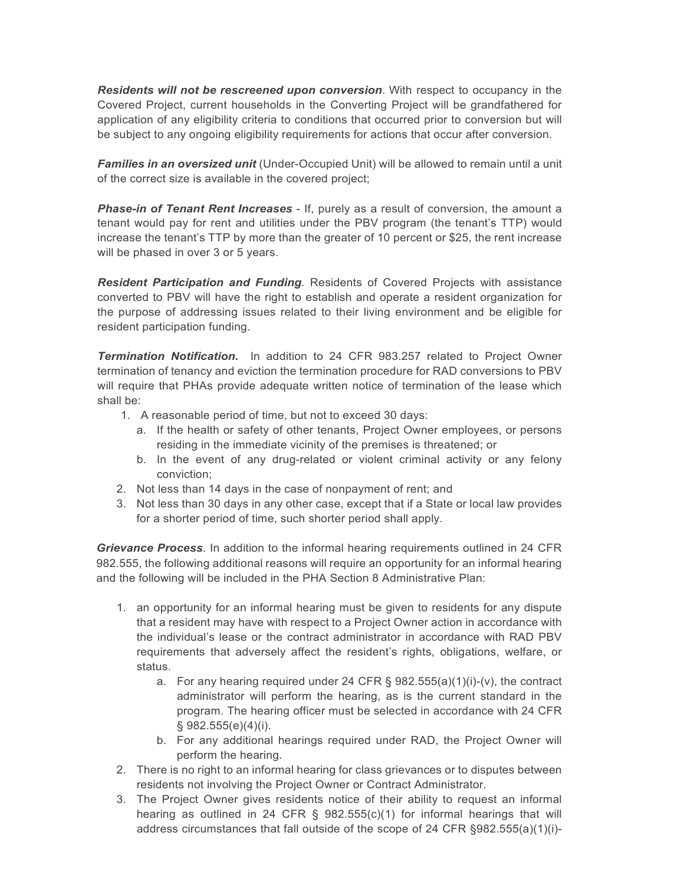*Residents will not be rescreened upon conversion*. With respect to occupancy in the Covered Project, current households in the Converting Project will be grandfathered for application of any eligibility criteria to conditions that occurred prior to conversion but will be subject to any ongoing eligibility requirements for actions that occur after conversion.

*Families in an oversized unit* (Under-Occupied Unit) will be allowed to remain until a unit of the correct size is available in the covered project;

*Phase-in of Tenant Rent Increases* - If, purely as a result of conversion, the amount a tenant would pay for rent and utilities under the PBV program (the tenant's TTP) would increase the tenant's TTP by more than the greater of 10 percent or \$25, the rent increase will be phased in over 3 or 5 years.

*Resident Participation and Funding.* Residents of Covered Projects with assistance converted to PBV will have the right to establish and operate a resident organization for the purpose of addressing issues related to their living environment and be eligible for resident participation funding.

*Termination Notification.* In addition to 24 CFR 983.257 related to Project Owner termination of tenancy and eviction the termination procedure for RAD conversions to PBV will require that PHAs provide adequate written notice of termination of the lease which shall be:

- 1. A reasonable period of time, but not to exceed 30 days:
	- a. If the health or safety of other tenants, Project Owner employees, or persons residing in the immediate vicinity of the premises is threatened; or
	- b. In the event of any drug-related or violent criminal activity or any felony conviction;
- 2. Not less than 14 days in the case of nonpayment of rent; and
- 3. Not less than 30 days in any other case, except that if a State or local law provides for a shorter period of time, such shorter period shall apply.

*Grievance Process*. In addition to the informal hearing requirements outlined in 24 CFR 982.555, the following additional reasons will require an opportunity for an informal hearing and the following will be included in the PHA Section 8 Administrative Plan:

- 1. an opportunity for an informal hearing must be given to residents for any dispute that a resident may have with respect to a Project Owner action in accordance with the individual's lease or the contract administrator in accordance with RAD PBV requirements that adversely affect the resident's rights, obligations, welfare, or status.
	- a. For any hearing required under 24 CFR  $\S$  982.555(a)(1)(i)-(v), the contract administrator will perform the hearing, as is the current standard in the program. The hearing officer must be selected in accordance with 24 CFR § 982.555(e)(4)(i).
	- b. For any additional hearings required under RAD, the Project Owner will perform the hearing.
- 2. There is no right to an informal hearing for class grievances or to disputes between residents not involving the Project Owner or Contract Administrator.
- 3. The Project Owner gives residents notice of their ability to request an informal hearing as outlined in 24 CFR  $\S$  982.555(c)(1) for informal hearings that will address circumstances that fall outside of the scope of 24 CFR §982.555(a)(1)(i)-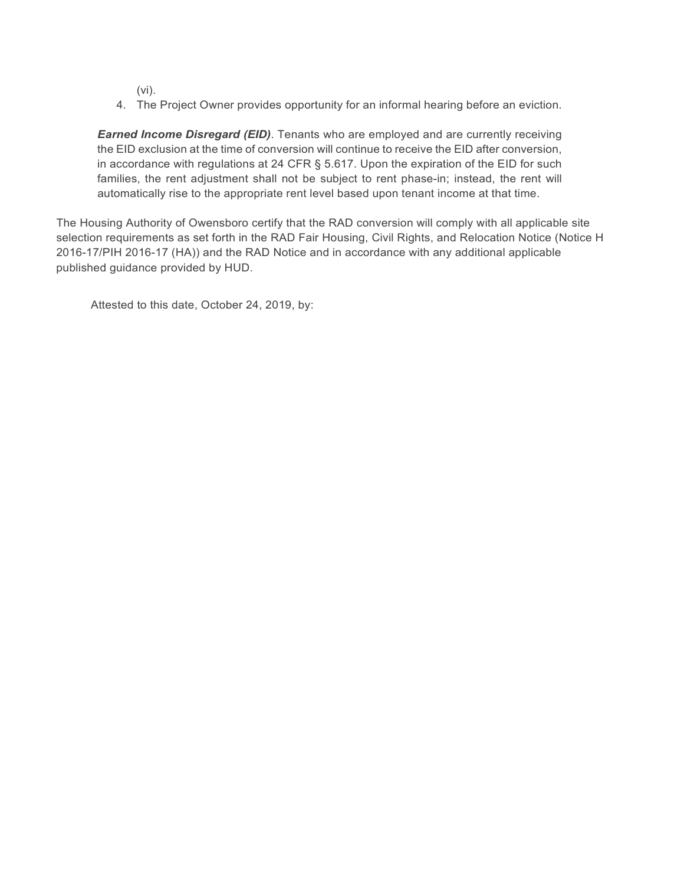(vi).

4. The Project Owner provides opportunity for an informal hearing before an eviction.

*Earned Income Disregard (EID)*. Tenants who are employed and are currently receiving the EID exclusion at the time of conversion will continue to receive the EID after conversion, in accordance with regulations at 24 CFR § 5.617. Upon the expiration of the EID for such families, the rent adjustment shall not be subject to rent phase-in; instead, the rent will automatically rise to the appropriate rent level based upon tenant income at that time.

The Housing Authority of Owensboro certify that the RAD conversion will comply with all applicable site selection requirements as set forth in the RAD Fair Housing, Civil Rights, and Relocation Notice (Notice H 2016-17/PIH 2016-17 (HA)) and the RAD Notice and in accordance with any additional applicable published guidance provided by HUD.

Attested to this date, October 24, 2019, by: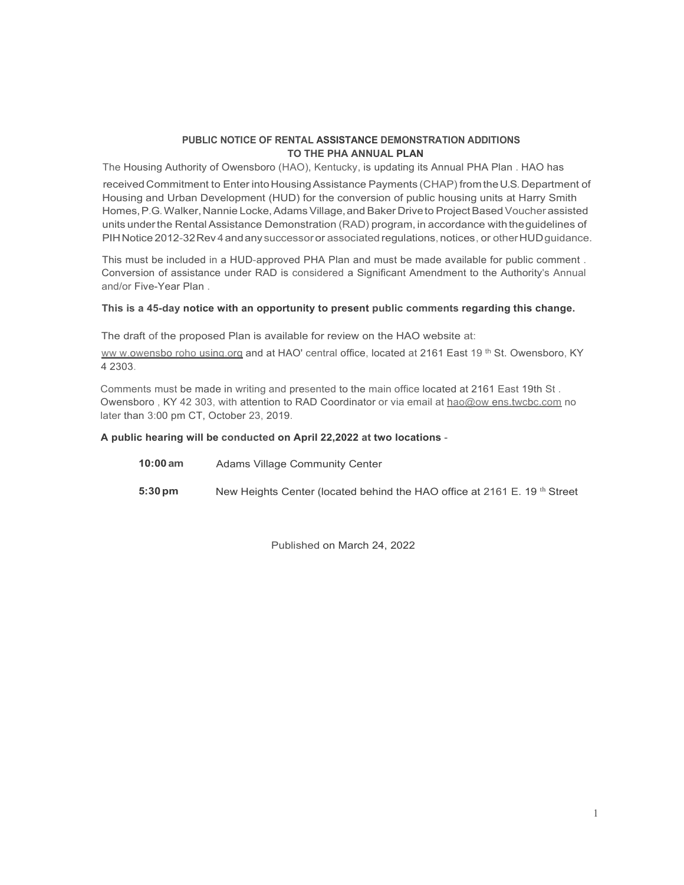#### **PUBLIC NOTICE OF RENTAL ASSISTANCE DEMONSTRATION ADDITIONS TO THE PHA ANNUAL PLAN**

The Housing Authority of Owensboro (HAO), Kentucky, is updating its Annual PHA Plan . HAO has received Commitment to Enter into Housing Assistance Payments (CHAP) from the U.S. Department of Housing and Urban Development (HUD) for the conversion of public housing units at Harry Smith Homes, P.G. Walker, Nannie Locke, Adams Village, and Baker Drive to Project Based Voucher assisted units underthe Rental Assistance Demonstration (RAD) program, in accordance with theguidelines of PIHNotice 2012-32Rev4 andany successor or associated regulations, notices, or otherHUDguidance.

This must be included in a HUD-approved PHA Plan and must be made available for public comment . Conversion of assistance under RAD is considered a Significant Amendment to the Authority's Annual and/or Five-Year Plan .

#### **This is a 45-day notice with an opportunity to present public comments regarding this change.**

The draft of the proposed Plan is available for review on the HAO website at:

[ww w.owensbo roho using.org](http://www.owensborohousing.org/) and at HAO' central office, located at 2161 East 19<sup>th</sup> St. Owensboro, KY 4 2303.

Comments must be made in writing and presented to the main office located at 2161 East 19th St . Owensboro, KY 42 303, with attention to RAD Coordinator or via email at [hao@ow ens.twcbc.com](mailto:hao@owens.twcbc.com) no later than 3:00 pm CT, October 23, 2019.

#### **A public hearing will be conducted on April 22,2022 at two locations** -

- **10:00 am** Adams Village Community Center
- **5:30pm** New Heights Center (located behind the HAO office at 2161 E. 19<sup>th</sup> Street

Published on March 24, 2022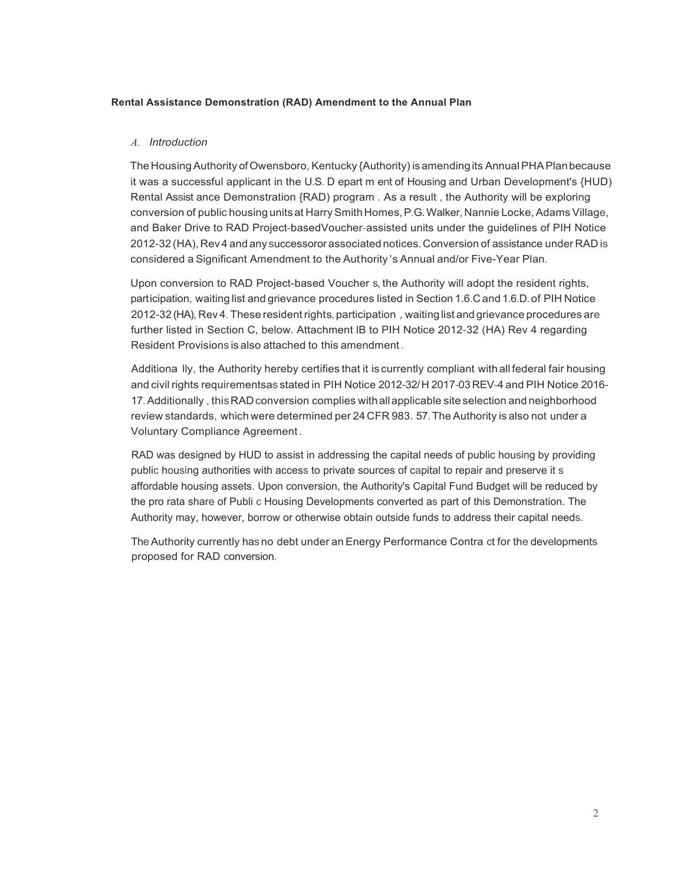#### **Rental Assistance Demonstration (RAD) Amendment to the Annual Plan**

#### *A. Introduction*

The Housing Authority of Owensboro, Kentucky {Authority) is amending its Annual PHA Plan because it was a successful applicant in the U.S. D epart m ent of Housing and Urban Development's {HUD) Rental Assist ance Demonstration {RAD) program . As a result , the Authority will be exploring conversion of public housing units at HarrySmithHomes,P.G.Walker,Nannie Locke, Adams Village, and Baker Drive to RAD Project-basedVoucher-assisted units under the guidelines of PIH Notice 2012-32 (HA), Rev4 and any successororassociated notices.Conversion of assistance under RAD is considered a Significant Amendment to the Authority 's Annual and/or Five-Year Plan.

Upon conversion to RAD Project-based Voucher s, the Authority will adopt the resident rights, participation, waiting list and grievance procedures listed in Section 1.6.C and 1.6.D.of PIH Notice 2012-32 (HA), Rev 4. These residentrights, participation , waiting list and grievance procedures are further listed in Section C, below. Attachment lB to PIH Notice 2012-32 (HA) Rev 4 regarding Resident Provisions is also attached to this amendment .

Additiona lly, the Authority hereby certifies that it is currently compliant with all federal fair housing and civil rights requirementsas stated in PIH Notice 2012-32/H 2017-03REV-4 and PIH Notice 2016- 17.Additionally , thisRADconversion complies withallapplicable site selection and neighborhood review standards, which were determined per 24 CFR 983. 57.The Authority is also not under a Voluntary Compliance Agreement .

RAD was designed by HUD to assist in addressing the capital needs of public housing by providing public housing authorities with access to private sources of capital to repair and preserve it s affordable housing assets. Upon conversion, the Authority's Capital Fund Budget will be reduced by the pro rata share of Publi c Housing Developments converted as part of this Demonstration. The Authority may, however, borrow or otherwise obtain outside funds to address their capital needs.

The Authority currently has no debt under an Energy Performance Contra ct for the developments proposed for RAD conversion.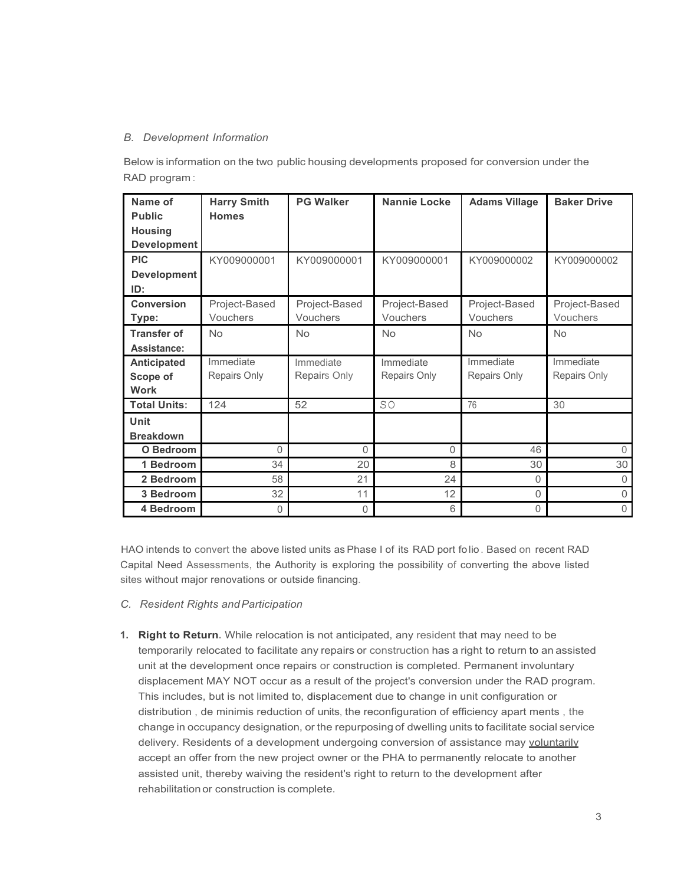#### *B. Development Information*

Below is information on the two public housing developments proposed for conversion under the RAD program :

| Name of             | <b>Harry Smith</b> | <b>PG Walker</b> | Nannie Locke  | <b>Adams Village</b> | <b>Baker Drive</b> |
|---------------------|--------------------|------------------|---------------|----------------------|--------------------|
| <b>Public</b>       | <b>Homes</b>       |                  |               |                      |                    |
| <b>Housing</b>      |                    |                  |               |                      |                    |
| <b>Development</b>  |                    |                  |               |                      |                    |
| <b>PIC</b>          | KY009000001        | KY009000001      | KY009000001   | KY009000002          | KY009000002        |
| <b>Development</b>  |                    |                  |               |                      |                    |
| ID:                 |                    |                  |               |                      |                    |
| <b>Conversion</b>   | Project-Based      | Project-Based    | Project-Based | Project-Based        | Project-Based      |
| Type:               | Vouchers           | Vouchers         | Vouchers      | Vouchers             | Vouchers           |
| <b>Transfer of</b>  | <b>No</b>          | <b>No</b>        | <b>No</b>     | <b>No</b>            | <b>No</b>          |
| Assistance:         |                    |                  |               |                      |                    |
| <b>Anticipated</b>  | Immediate          | Immediate        | Immediate     | Immediate            | Immediate          |
| Scope of            | Repairs Only       | Repairs Only     | Repairs Only  | Repairs Only         | Repairs Only       |
| <b>Work</b>         |                    |                  |               |                      |                    |
| <b>Total Units:</b> | 124                | 52               | SO            | 76                   | 30                 |
| <b>Unit</b>         |                    |                  |               |                      |                    |
| <b>Breakdown</b>    |                    |                  |               |                      |                    |
| O Bedroom           | 0                  | $\Omega$         | 0             | 46                   | 0                  |
| 1 Bedroom           | 34                 | 20               | 8             | 30                   | 30                 |
| 2 Bedroom           | 58                 | 21               | 24            | $\Omega$             | $\Omega$           |
| 3 Bedroom           | 32                 | 11               | 12            | $\Omega$             | 0                  |
| 4 Bedroom           | 0                  | 0                | 6             | 0                    | $\mathbf 0$        |

HAO intends to convert the above listed units as Phase I of its RAD port fo lio . Based on recent RAD Capital Need Assessments, the Authority is exploring the possibility of converting the above listed sites without major renovations or outside financing.

- *C. Resident Rights andParticipation*
- **1. Right to Return.** While relocation is not anticipated, any resident that may need to be temporarily relocated to facilitate any repairs or construction has a right to return to an assisted unit at the development once repairs or construction is completed. Permanent involuntary displacement MAY NOT occur as a result of the project's conversion under the RAD program. This includes, but is not limited to, displacement due to change in unit configuration or distribution , de minimis reduction of units, the reconfiguration of efficiency apart ments , the change in occupancy designation, or the repurposing of dwelling units to facilitate social service delivery. Residents of a development undergoing conversion of assistance may voluntarily accept an offer from the new project owner or the PHA to permanently relocate to another assisted unit, thereby waiving the resident's right to return to the development after rehabilitation or construction is complete.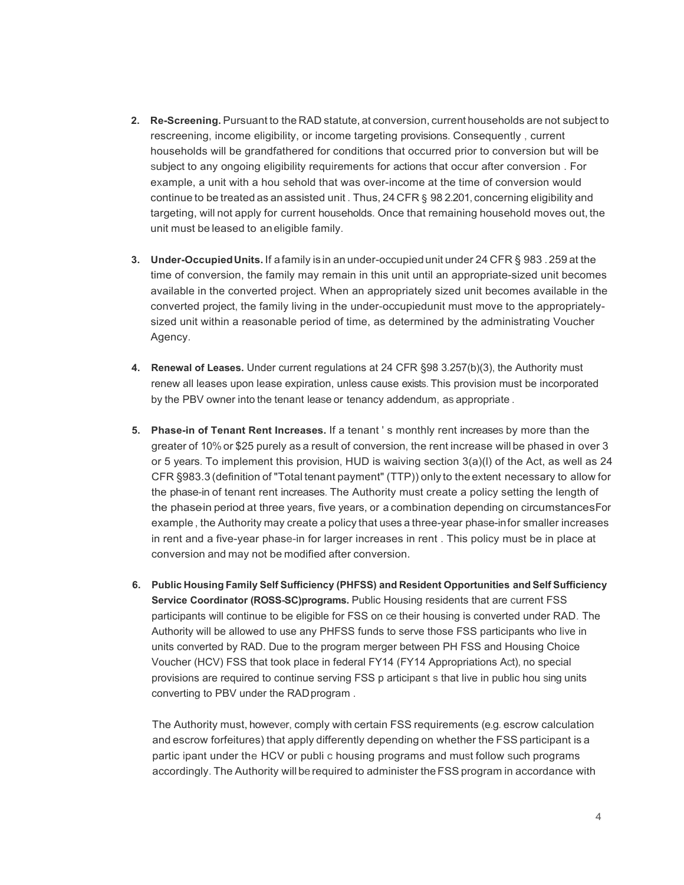- **2. Re-Screening.** Pursuant to the RAD statute, at conversion, current households are not subject to rescreening, income eligibility, or income targeting provisions. Consequently , current households will be grandfathered for conditions that occurred prior to conversion but will be subject to any ongoing eligibility requirements for actions that occur after conversion . For example, a unit with a hou sehold that was over-income at the time of conversion would continue to be treated as an assisted unit . Thus, 24 CFR § 98 2.201, concerning eligibility and targeting, will not apply for current households. Once that remaining household moves out, the unit must be leased to aneligible family.
- **3. Under-OccupiedUnits.** If afamily is in an under-occupiedunit under 24 CFR § 983 .259 at the time of conversion, the family may remain in this unit until an appropriate-sized unit becomes available in the converted project. When an appropriately sized unit becomes available in the converted project, the family living in the under-occupiedunit must move to the appropriatelysized unit within a reasonable period of time, as determined by the administrating Voucher Agency.
- **4. Renewal of Leases.** Under current regulations at 24 CFR §98 3.257(b)(3), the Authority must renew all leases upon lease expiration, unless cause exists. This provision must be incorporated by the PBV owner into the tenant lease or tenancy addendum, as appropriate .
- **5. Phase-in of Tenant Rent Increases.** If a tenant ' s monthly rent increases by more than the greater of 10%or \$25 purely as a result of conversion, the rent increase will be phased in over 3 or 5 years. To implement this provision, HUD is waiving section  $3(a)(I)$  of the Act, as well as 24 CFR §983.3 (definition of "Total tenant payment" (TTP)) only to the extent necessary to allow for the phase-in of tenant rent increases. The Authority must create a policy setting the length of the phase in period at three years, five years, or a combination depending on circumstances For example , the Authority may create a policy that uses a three-year phase-infor smaller increases in rent and a five-year phase-in for larger increases in rent . This policy must be in place at conversion and may not be modified after conversion.
- **6. Public Housing Family Self Sufficiency (PHFSS) and Resident Opportunities and Self Sufficiency Service Coordinator (ROSS-SC)programs.** Public Housing residents that are current FSS participants will continue to be eligible for FSS on ce their housing is converted under RAD. The Authority will be allowed to use any PHFSS funds to serve those FSS participants who live in units converted by RAD. Due to the program merger between PH FSS and Housing Choice Voucher (HCV) FSS that took place in federal FY14 (FY14 Appropriations Act), no special provisions are required to continue serving FSS p articipant s that live in public hou sing units converting to PBV under the RADprogram .

The Authority must, however, comply with certain FSS requirements (e.g. escrow calculation and escrow forfeitures) that apply differently depending on whether the FSS participant is a partic ipant under the HCV or publi c housing programs and must follow such programs accordingly. The Authority will be required to administer the FSS program in accordance with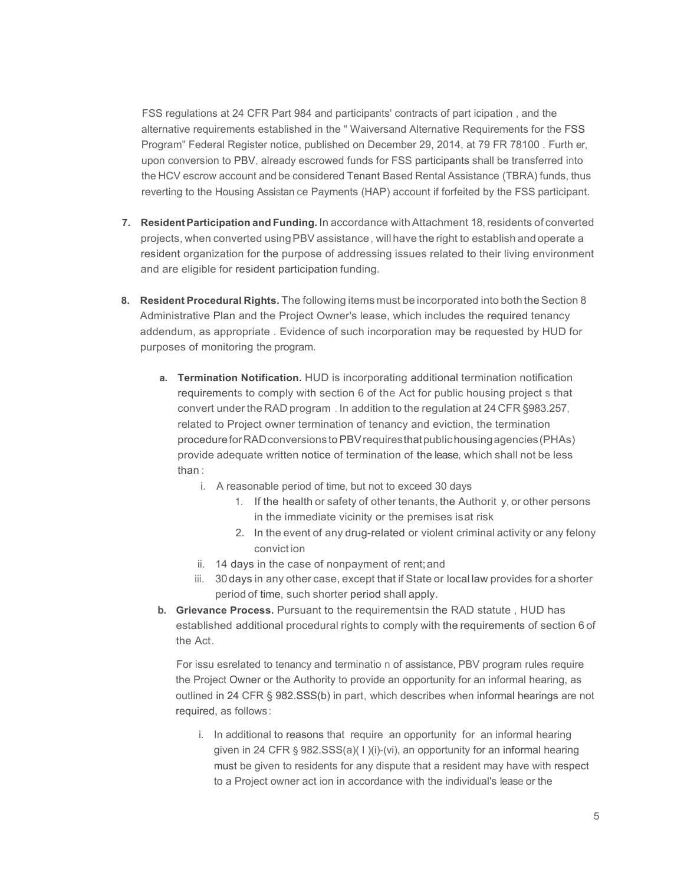FSS regulations at 24 CFR Part 984 and participants' contracts of part icipation , and the alternative requirements established in the " Waiversand Alternative Requirements for the FSS Program" Federal Register notice, published on December 29, 2014, at 79 FR 78100 . Furth er, upon conversion to PBV, already escrowed funds for FSS participants shall be transferred into the HCV escrow account and be considered Tenant Based Rental Assistance (TBRA) funds, thus reverting to the Housing Assistan ce Payments (HAP) account if forfeited by the FSS participant.

- **7. ResidentParticipation and Funding.** In accordance withAttachment 18,residents of converted projects, when converted usingPBV assistance, will have the right to establish and operate a resident organization for the purpose of addressing issues related to their living environment and are eligible for resident participation funding.
- **8. Resident Procedural Rights.** The following items must be incorporated into both the Section 8 Administrative Plan and the Project Owner's lease, which includes the required tenancy addendum, as appropriate . Evidence of such incorporation may be requested by HUD for purposes of monitoring the program.
	- **a. Termination Notification.** HUD is incorporating additional termination notification requirements to comply with section 6 of the Act for public housing project s that convert under the RAD program . In addition to the regulation at 24 CFR §983.257, related to Project owner termination of tenancy and eviction, the termination procedureforRADconversions toPBVrequiresthatpublichousingagencies(PHAs) provide adequate written notice of termination of the lease, which shall not be less than :
		- i. A reasonable period of time, but not to exceed 30 days
			- 1. If the health or safety of other tenants, the Authorit y, or other persons in the immediate vicinity or the premises isat risk
			- 2. In the event of any drug-related or violent criminal activity or any felony convict ion
		- ii. 14 days in the case of nonpayment of rent;and
		- iii. 30days in any other case, except that if State or local law provides for a shorter period of time, such shorter period shall apply.
	- **b. Grievance Process.** Pursuant to the requirementsin the RAD statute , HUD has established additional procedural rights to comply with the requirements of section 6 of the Act.

For issu esrelated to tenancy and terminatio n of assistance, PBV program rules require the Project Owner or the Authority to provide an opportunity for an informal hearing, as outlined in 24 CFR § 982.SSS(b) in part, which describes when informal hearings are not required, as follows:

i. In additional to reasons that require an opportunity for an informal hearing given in 24 CFR § 982.SSS(a)( l )(i)-(vi), an opportunity for an informal hearing must be given to residents for any dispute that a resident may have with respect to a Project owner act ion in accordance with the individual's lease or the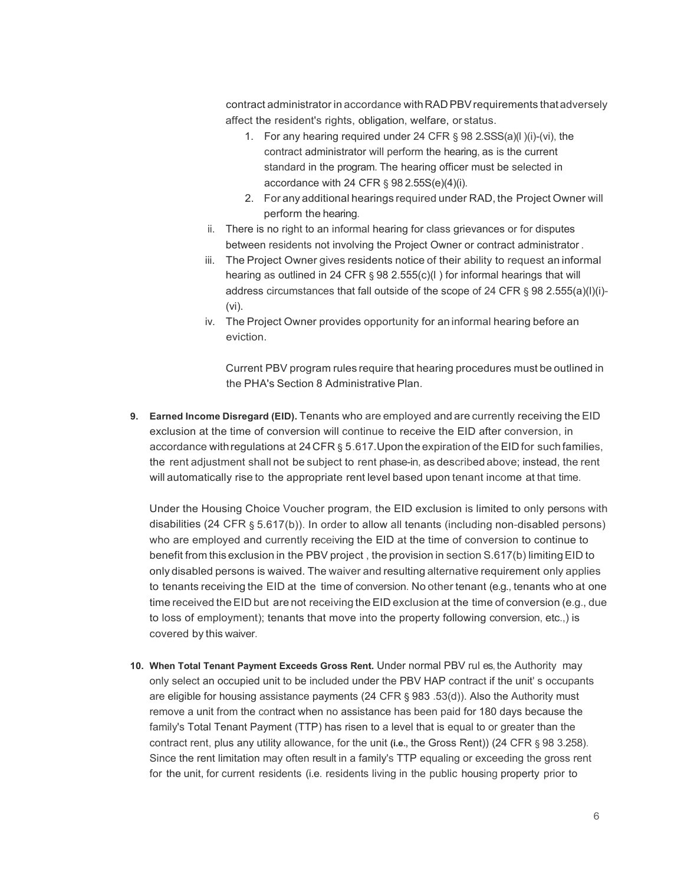contract administrator in accordance withRAD PBVrequirements that adversely affect the resident's rights, obligation, welfare, or status.

- 1. For any hearing required under 24 CFR § 98 2.SSS(a)(l )(i)-(vi), the contract administrator will perform the hearing, as is the current standard in the program. The hearing officer must be selected in accordance with 24 CFR § 98 2.55S(e)(4)(i).
- 2. For any additional hearings required under RAD, the Project Owner will perform the hearing.
- ii. There is no right to an informal hearing for class grievances or for disputes between residents not involving the Project Owner or contract administrator .
- iii. The Project Owner gives residents notice of their ability to request an informal hearing as outlined in 24 CFR § 98 2.555(c)(l) for informal hearings that will address circumstances that fall outside of the scope of 24 CFR § 98 2.555(a)(l)(i)- (vi).
- iv. The Project Owner provides opportunity for an informal hearing before an eviction.

Current PBV program rules require that hearing procedures must be outlined in the PHA's Section 8 Administrative Plan.

**9. Earned Income Disregard (EID).** Tenants who are employed and are currently receiving the EID exclusion at the time of conversion will continue to receive the EID after conversion, in accordance withregulations at 24CFR § 5.617.Upon the expiration of the EID for such families, the rent adjustment shall not be subject to rent phase-in, as described above; instead, the rent will automatically rise to the appropriate rent level based upon tenant income at that time.

Under the Housing Choice Voucher program, the EID exclusion is limited to only persons with disabilities (24 CFR § 5.617(b)). In order to allow all tenants (including non-disabled persons) who are employed and currently receiving the EID at the time of conversion to continue to benefit from this exclusion in the PBV project, the provision in section S.617(b) limiting EID to only disabled persons is waived. The waiver and resulting alternative requirement only applies to tenants receiving the EID at the time of conversion. No other tenant (e.g., tenants who at one time received the EID but are not receiving the EID exclusion at the time of conversion (e.g., due to loss of employment); tenants that move into the property following conversion, etc.,) is covered by this waiver.

**10. When Total Tenant Payment Exceeds Gross Rent.** Under normal PBV rul es, the Authority may only select an occupied unit to be included under the PBV HAP contract if the unit' s occupants are eligible for housing assistance payments (24 CFR § 983 .53(d)). Also the Authority must remove a unit from the contract when no assistance has been paid for 180 days because the family's Total Tenant Payment (TTP) has risen to a level that is equal to or greater than the contract rent, plus any utility allowance, for the unit **(i.e.,** the Gross Rent)) (24 CFR § 98 3.258). Since the rent limitation may often result in a family's TTP equaling or exceeding the gross rent for the unit, for current residents (i.e. residents living in the public housing property prior to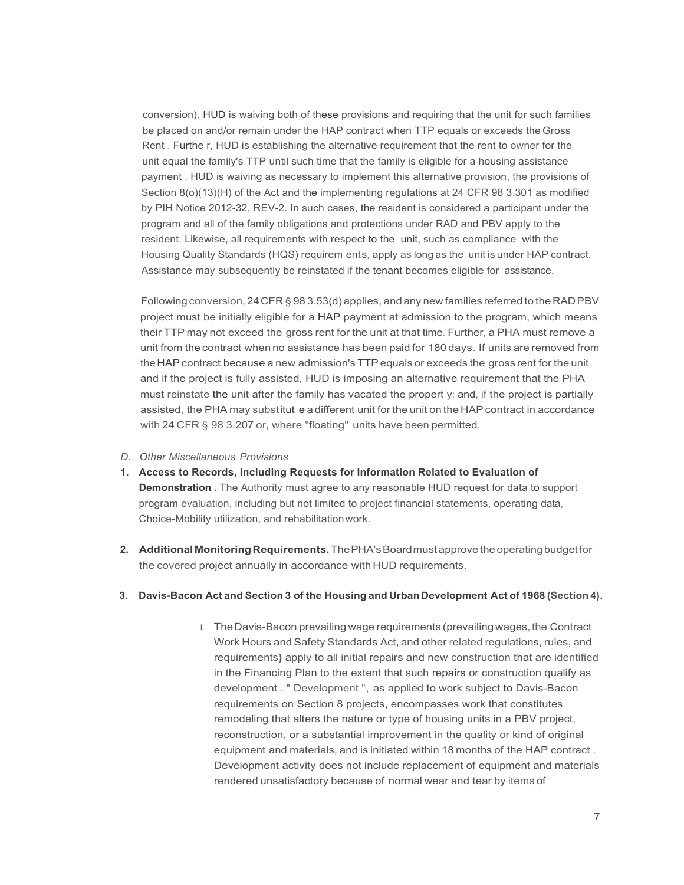conversion), HUD is waiving both of these provisions and requiring that the unit for such families be placed on and/or remain under the HAP contract when TTP equals or exceeds the Gross Rent . Furthe r, HUD is establishing the alternative requirement that the rent to owner for the unit equal the family's TTP until such time that the family is eligible for a housing assistance payment . HUD is waiving as necessary to implement this alternative provision, the provisions of Section 8(o)(13)(H) of the Act and the implementing regulations at 24 CFR 98 3.301 as modified by PIH Notice 2012-32, REV-2. In such cases, the resident is considered a participant under the program and all of the family obligations and protections under RAD and PBV apply to the resident. Likewise, all requirements with respect to the unit, such as compliance with the Housing Quality Standards (HQS) requirem ents, apply as long as the unit is under HAP contract. Assistance may subsequently be reinstated if the tenant becomes eligible for assistance.

Following conversion, 24 CFR § 98 3.53(d) applies, and any new families referred to the RAD PBV project must be initially eligible for a HAP payment at admission to the program, which means their TTP may not exceed the gross rent for the unit at that time. Further, a PHA must remove a unit from the contract when no assistance has been paid for 180 days. If units are removed from theHAPcontract because a new admission's TTPequals or exceeds the gross rent for the unit and if the project is fully assisted, HUD is imposing an alternative requirement that the PHA must reinstate the unit after the family has vacated the propert y; and, if the project is partially assisted, the PHA may substitut e a different unit for the unit on the HAPcontract in accordance with 24 CFR § 98 3.207 or, where "floating" units have been permitted.

- *D. Other Miscellaneous Provisions*
- **1. Access to Records, Including Requests for Information Related to Evaluation of Demonstration** . The Authority must agree to any reasonable HUD request for data to support program evaluation, including but not limited to project financial statements, operating data, Choice-Mobility utilization, and rehabilitationwork.
- **2. Additional MonitoringRequirements.**ThePHA'sBoardmustapprovethe operatingbudgetfor the covered project annually in accordance with HUD requirements.

#### **3. Davis-Bacon Act and Section 3 of the Housing and Urban Development Act of 1968 (Section 4).**

i. The Davis-Bacon prevailing wage requirements (prevailing wages, the Contract Work Hours and Safety Standards Act, and other related regulations, rules, and requirements} apply to all initial repairs and new construction that are identified in the Financing Plan to the extent that such repairs or construction qualify as development . " Development ", as applied to work subject to Davis-Bacon requirements on Section 8 projects, encompasses work that constitutes remodeling that alters the nature or type of housing units in a PBV project, reconstruction, or a substantial improvement in the quality or kind of original equipment and materials, and is initiated within 18 months of the HAP contract . Development activity does not include replacement of equipment and materials rendered unsatisfactory because of normal wear and tear by items of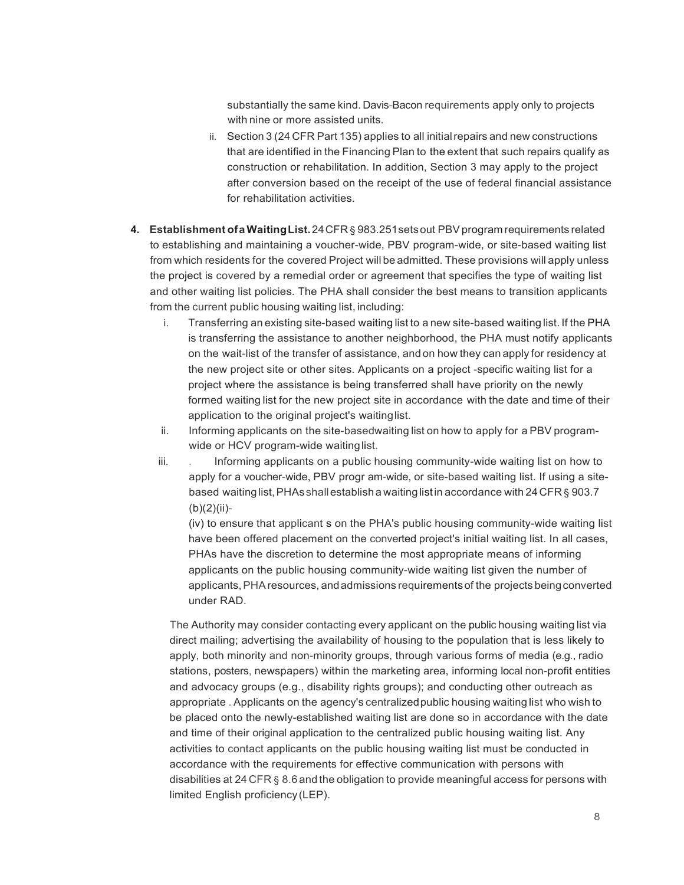substantially the same kind. Davis-Bacon requirements apply only to projects with nine or more assisted units.

- ii. Section 3 (24 CFR Part 135) applies to all initialrepairs and new constructions that are identified in the Financing Plan to the extent that such repairs qualify as construction or rehabilitation. In addition, Section 3 may apply to the project after conversion based on the receipt of the use of federal financial assistance for rehabilitation activities.
- **4. Establishment ofaWaitingList.**24CFR § 983.251setsout PBVprogram requirements related to establishing and maintaining a voucher-wide, PBV program-wide, or site-based waiting list from which residents for the covered Project will be admitted. These provisions will apply unless the project is covered by a remedial order or agreement that specifies the type of waiting list and other waiting list policies. The PHA shall consider the best means to transition applicants from the current public housing waiting list, including:
	- i. Transferring an existing site-based waiting list to a new site-based waiting list. If the PHA is transferring the assistance to another neighborhood, the PHA must notify applicants on the wait-list of the transfer of assistance, and on how they can apply for residency at the new project site or other sites. Applicants on a project -specific waiting list for a project where the assistance is being transferred shall have priority on the newly formed waiting list for the new project site in accordance with the date and time of their application to the original project's waitinglist.
	- ii. Informing applicants on the site-basedwaiting list on how to apply for a PBV programwide or HCV program-wide waitinglist.
	- iii. . Informing applicants on a public housing community-wide waiting list on how to apply for a voucher-wide, PBV progr am-wide, or site-based waiting list. If using a sitebased waiting list, PHAs shall establish a waiting list in accordance with 24 CFR § 903.7 (b)(2)(ii)-

(iv) to ensure that applicant s on the PHA's public housing community-wide waiting list have been offered placement on the converted project's initial waiting list. In all cases, PHAs have the discretion to determine the most appropriate means of informing applicants on the public housing community-wide waiting list given the number of applicants, PHA resources, and admissions requirements of the projects being converted under RAD.

The Authority may consider contacting every applicant on the public housing waiting list via direct mailing; advertising the availability of housing to the population that is less likely to apply, both minority and non-minority groups, through various forms of media (e.g., radio stations, posters, newspapers) within the marketing area, informing local non-profit entities and advocacy groups (e.g., disability rights groups); and conducting other outreach as appropriate . Applicants on the agency's centralizedpublic housing waiting list who wish to be placed onto the newly-established waiting list are done so in accordance with the date and time of their original application to the centralized public housing waiting list. Any activities to contact applicants on the public housing waiting list must be conducted in accordance with the requirements for effective communication with persons with disabilities at 24 CFR § 8.6 and the obligation to provide meaningful access for persons with limited English proficiency(LEP).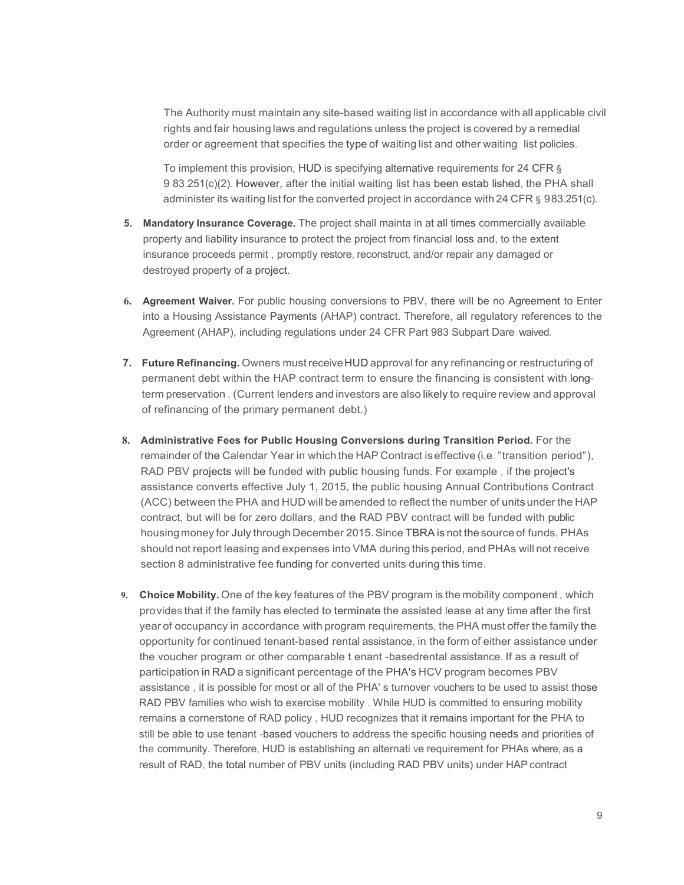The Authority must maintain any site-based waiting list in accordance with all applicable civil rights and fair housing laws and regulations unless the project is covered by a remedial order or agreement that specifies the type of waiting list and other waiting list policies.

To implement this provision, HUD is specifying alternative requirements for 24 CFR § 9 83.251(c)(2). However, after the initial waiting list has been estab lished, the PHA shall administer its waiting list for the converted project in accordance with 24 CFR § 983.251(c).

- **5. Mandatory Insurance Coverage.** The project shall mainta in at all times commercially available property and liability insurance to protect the project from financial loss and, to the extent insurance proceeds permit , promptly restore, reconstruct, and/or repair any damaged or destroyed property of a project.
- **6. Agreement Waiver.** For public housing conversions to PBV, there will be no Agreement to Enter into a Housing Assistance Payments (AHAP) contract. Therefore, all regulatory references to the Agreement (AHAP), including regulations under 24 CFR Part 983 Subpart Dare waived.
- **7. Future Refinancing.** Owners must receiveHUD approval for any refinancing or restructuring of permanent debt within the HAP contract term to ensure the financing is consistent with longterm preservation . (Current lenders and investors are also likely to require review and approval of refinancing of the primary permanent debt.)
- **8. Administrative Fees for Public Housing Conversions during Transition Period.** For the remainder of the Calendar Year in which the HAP Contract iseffective (i.e. "transition period"), RAD PBV projects will be funded with public housing funds. For example , if the project's assistance converts effective July 1, 2015, the public housing Annual Contributions Contract (ACC) between the PHA and HUD will be amended to reflect the number of units under the HAP contract, but will be for zero dollars, and the RAD PBV contract will be funded with public housingmoney for July through December 2015.Since TBRA is not the source of funds, PHAs should not report leasing and expenses into VMA during this period, and PHAs will not receive section 8 administrative fee funding for converted units during this time.
- **9. Choice Mobility.** One of the key features of the PBV program is the mobility component , which provides that if the family has elected to terminate the assisted lease at any time after the first year of occupancy in accordance with program requirements, the PHA must offer the family the opportunity for continued tenant-based rental assistance, in the form of either assistance under the voucher program or other comparable t enant -basedrental assistance. If as a result of participation in RAD a significant percentage of the PHA's HCV program becomes PBV assistance , it is possible for most or all of the PHA' s turnover vouchers to be used to assist those RAD PBV families who wish to exercise mobility . While HUD is committed to ensuring mobility remains a cornerstone of RAD policy , HUD recognizes that it remains important for the PHA to still be able to use tenant -based vouchers to address the specific housing needs and priorities of the community. Therefore, HUD is establishing an alternati ve requirement for PHAs where, as a result of RAD, the total number of PBV units (including RAD PBV units) under HAP contract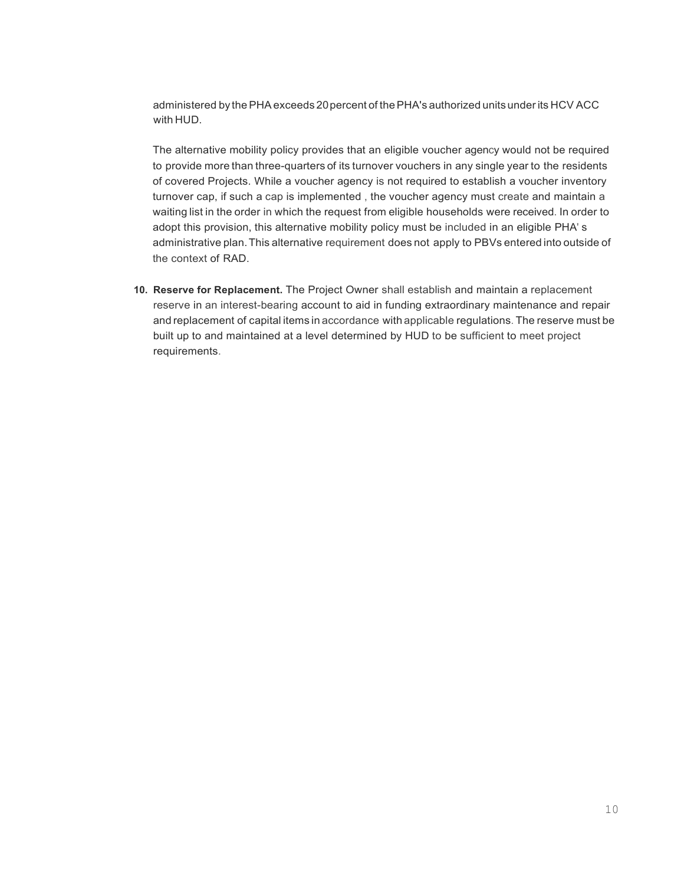administered by thePHAexceeds 20percent of thePHA's authorized units under its HCV ACC with HUD.

The alternative mobility policy provides that an eligible voucher agency would not be required to provide more than three-quarters of its turnover vouchers in any single year to the residents of covered Projects. While a voucher agency is not required to establish a voucher inventory turnover cap, if such a cap is implemented , the voucher agency must create and maintain a waiting list in the order in which the request from eligible households were received. In order to adopt this provision, this alternative mobility policy must be included in an eligible PHA' s administrative plan.This alternative requirement does not apply to PBVs entered into outside of the context of RAD.

**10. Reserve for Replacement.** The Project Owner shall establish and maintain a replacement reserve in an interest-bearing account to aid in funding extraordinary maintenance and repair and replacement of capital items in accordance with applicable regulations. The reserve must be built up to and maintained at a level determined by HUD to be sufficient to meet project requirements.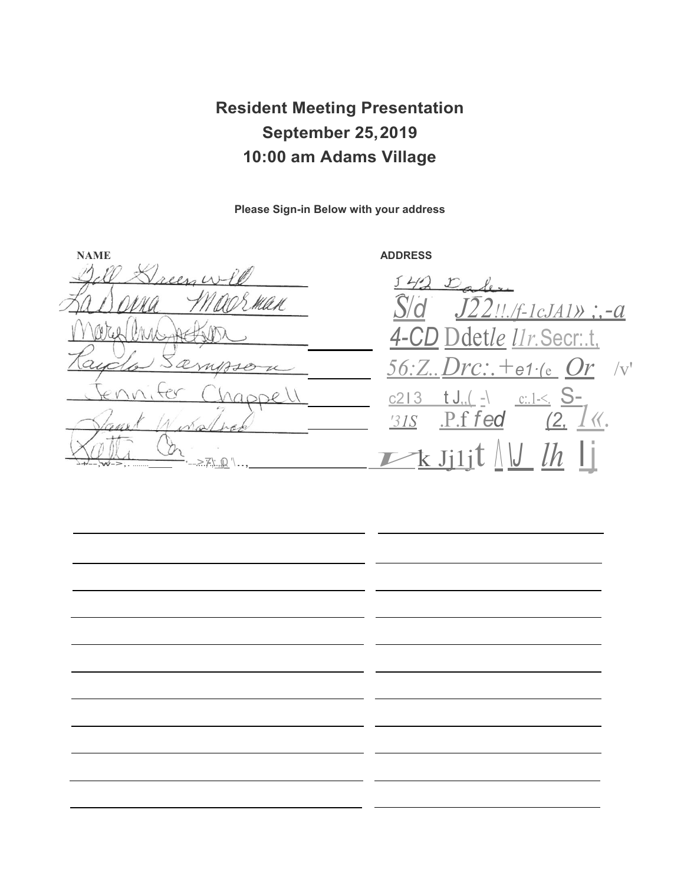**Resident Meeting Presentation September 25,2019 10:00 am Adams Village**

**Please Sign-in Below with your address**

**NAME ADDRESS** KA H 1t  $2De$ Fant Winshoo 315 P.ffed (2.1)

 $J40$  $\mathcal{L}$ *S*/*d J22!!./f-1cJA1» ;,-a 4-CD* Ddet*le l1r.*Secr:.t, *56:Z..Drc:.+e1·(*e\_ *Or* /v'  $c213$  t J,  $\left( \frac{1}{2} \right)$   $c:1 \leq S$ *'31S* .P.f *fed (2, 1«.*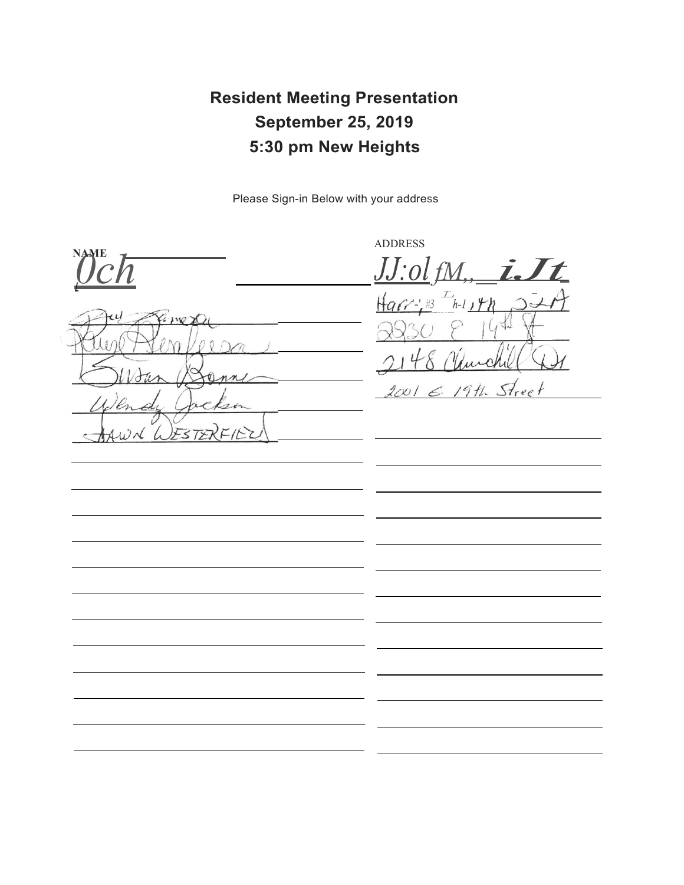# **Resident Meeting Presentation September 25, 2019 5:30 pm New Heights**

Please Sign-in Below with your address

ADDRESS **NAME** *0ch*  $iJt$ *I* '-' $\theta$  $\lambda$  $S$ treet 200 T  $1911$ £. ىر  $\omega_{\mathcal{N}}$ ESTER  $F/2$